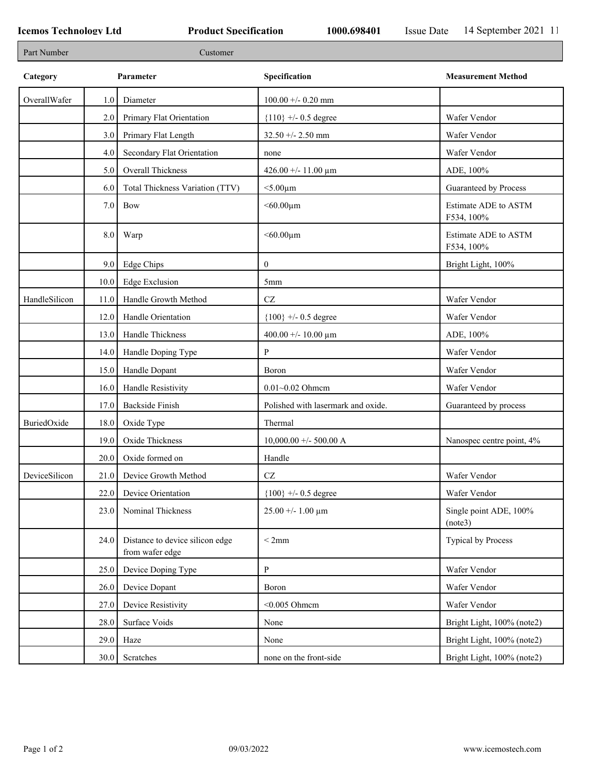┑

| Part Number   |         | Customer                                           |                                    |                                    |
|---------------|---------|----------------------------------------------------|------------------------------------|------------------------------------|
| Category      |         | Parameter                                          | Specification                      | <b>Measurement Method</b>          |
| OverallWafer  | 1.0     | Diameter                                           | $100.00 + -0.20$ mm                |                                    |
|               | 2.0     | Primary Flat Orientation                           | ${110}$ +/- 0.5 degree             | Wafer Vendor                       |
|               | 3.0     | Primary Flat Length                                | $32.50 + - 2.50$ mm                | Wafer Vendor                       |
|               | 4.0     | Secondary Flat Orientation                         | none                               | Wafer Vendor                       |
|               | 5.0     | Overall Thickness                                  | 426.00 +/- 11.00 $\mu$ m           | ADE, 100%                          |
|               | 6.0     | Total Thickness Variation (TTV)                    | $<$ 5.00 $\mu$ m                   | Guaranteed by Process              |
|               | $7.0\,$ | <b>Bow</b>                                         | $< 60.00 \mu m$                    | Estimate ADE to ASTM<br>F534, 100% |
|               | $8.0\,$ | Warp                                               | $< 60.00 \mu m$                    | Estimate ADE to ASTM<br>F534, 100% |
|               | 9.0     | Edge Chips                                         | $\boldsymbol{0}$                   | Bright Light, 100%                 |
|               | 10.0    | <b>Edge Exclusion</b>                              | 5 <sub>mm</sub>                    |                                    |
| HandleSilicon | 11.0    | Handle Growth Method                               | $\operatorname{CZ}$                | Wafer Vendor                       |
|               | 12.0    | Handle Orientation                                 | ${100}$ +/- 0.5 degree             | Wafer Vendor                       |
|               | 13.0    | Handle Thickness                                   | 400.00 +/- 10.00 $\mu$ m           | ADE, 100%                          |
|               | 14.0    | Handle Doping Type                                 | P                                  | Wafer Vendor                       |
|               | 15.0    | Handle Dopant                                      | Boron                              | Wafer Vendor                       |
|               | 16.0    | Handle Resistivity                                 | $0.01 - 0.02$ Ohmem                | Wafer Vendor                       |
|               | 17.0    | <b>Backside Finish</b>                             | Polished with lasermark and oxide. | Guaranteed by process              |
| BuriedOxide   | 18.0    | Oxide Type                                         | Thermal                            |                                    |
|               | 19.0    | Oxide Thickness                                    | $10,000.00 +/- 500.00 A$           | Nanospec centre point, 4%          |
|               | 20.0    | Oxide formed on                                    | Handle                             |                                    |
| DeviceSilicon | 21.0    | Device Growth Method                               | $\operatorname{CZ}$                | Wafer Vendor                       |
|               | 22.0    | Device Orientation                                 | ${100}$ +/- 0.5 degree             | Wafer Vendor                       |
|               | 23.0    | Nominal Thickness                                  | $25.00 + - 1.00 \mu m$             | Single point ADE, 100%<br>(note3)  |
|               | 24.0    | Distance to device silicon edge<br>from wafer edge | < 2mm                              | <b>Typical by Process</b>          |
|               | 25.0    | Device Doping Type                                 | ${\bf P}$                          | Wafer Vendor                       |
|               | 26.0    | Device Dopant                                      | Boron                              | Wafer Vendor                       |
|               | 27.0    | Device Resistivity                                 | $<$ 0.005 Ohmem                    | Wafer Vendor                       |
|               | 28.0    | Surface Voids                                      | None                               | Bright Light, 100% (note2)         |
|               | 29.0    | Haze                                               | None                               | Bright Light, 100% (note2)         |
|               | 30.0    | Scratches                                          | none on the front-side             | Bright Light, 100% (note2)         |